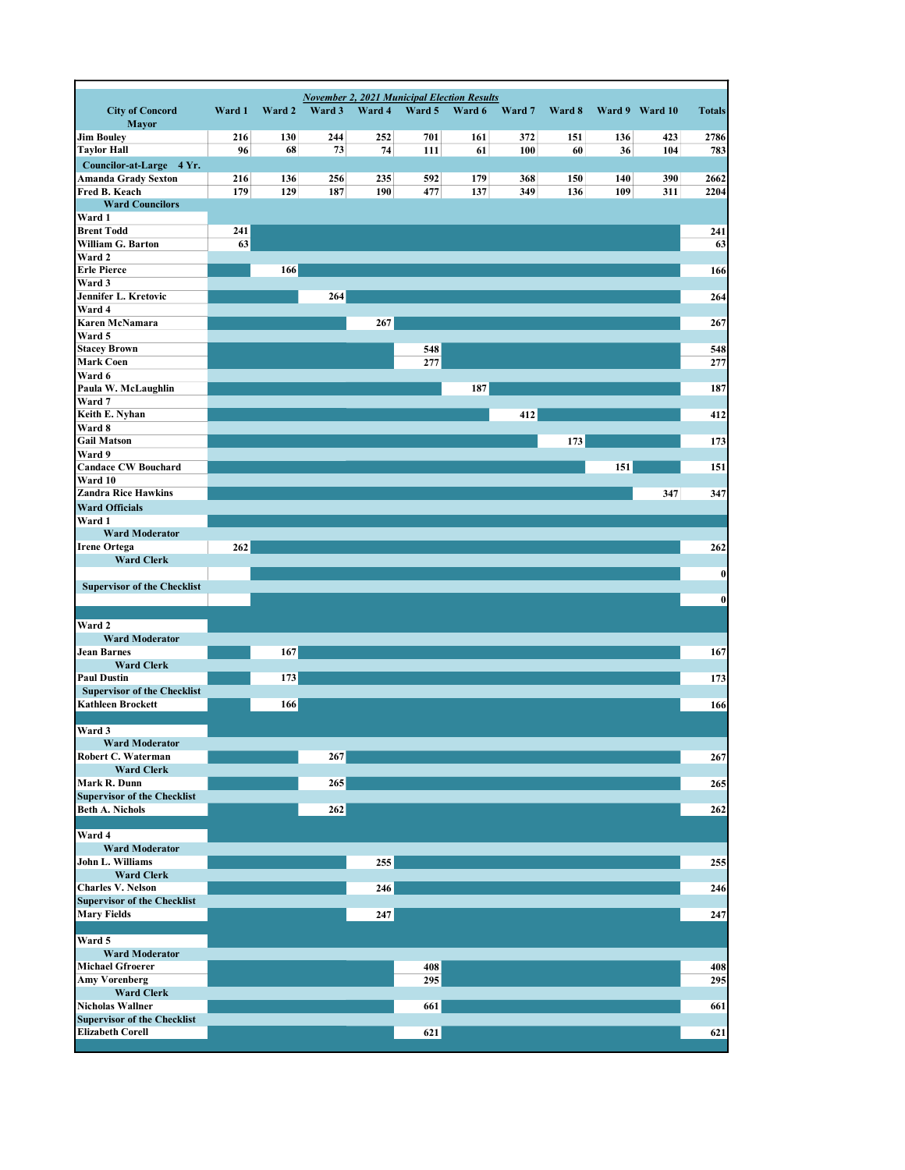| <b>City of Concord</b><br><b>Mayor</b>                         | Ward 1 | Ward 2 | <b>November 2, 2021 Municipal Election Results</b><br>Ward 3 | Ward 4 | Ward 5 | Ward 6 | Ward 7 | Ward 8 |     | Ward 9 Ward 10 | <b>Totals</b> |
|----------------------------------------------------------------|--------|--------|--------------------------------------------------------------|--------|--------|--------|--------|--------|-----|----------------|---------------|
| <b>Jim Bouley</b>                                              | 216    | 130    | 244                                                          | 252    | 701    | 161    | 372    | 151    | 136 | 423            | 2786          |
| <b>Taylor Hall</b>                                             | 96     | 68     | 73                                                           | 74     | 111    | 61     | 100    | 60     | 36  | 104            | 783           |
| Councilor-at-Large 4 Yr.                                       |        |        |                                                              |        |        |        |        |        |     |                |               |
| Amanda Grady Sexton                                            | 216    | 136    | 256                                                          | 235    | 592    | 179    | 368    | 150    | 140 | 390            | 2662          |
| Fred B. Keach<br><b>Ward Councilors</b>                        | 179    | 129    | 187                                                          | 190    | 477    | 137    | 349    | 136    | 109 | 311            | 2204          |
| Ward 1                                                         |        |        |                                                              |        |        |        |        |        |     |                |               |
| <b>Brent Todd</b>                                              | 241    |        |                                                              |        |        |        |        |        |     |                | 241           |
| William G. Barton                                              | 63     |        |                                                              |        |        |        |        |        |     |                | 63            |
| Ward 2<br><b>Erle Pierce</b>                                   |        | 166    |                                                              |        |        |        |        |        |     |                | 166           |
| Ward 3                                                         |        |        |                                                              |        |        |        |        |        |     |                |               |
| Jennifer L. Kretovic                                           |        |        | 264                                                          |        |        |        |        |        |     |                | 264           |
| Ward 4                                                         |        |        |                                                              |        |        |        |        |        |     |                |               |
| Karen McNamara<br>Ward 5                                       |        |        |                                                              | 267    |        |        |        |        |     |                | 267           |
| <b>Stacey Brown</b>                                            |        |        |                                                              |        | 548    |        |        |        |     |                | 548           |
| <b>Mark Coen</b>                                               |        |        |                                                              |        | 277    |        |        |        |     |                | 277           |
| Ward 6                                                         |        |        |                                                              |        |        |        |        |        |     |                |               |
| Paula W. McLaughlin                                            |        |        |                                                              |        |        | 187    |        |        |     |                | 187           |
| Ward 7<br>Keith E. Nyhan                                       |        |        |                                                              |        |        |        | 412    |        |     |                | 412           |
| Ward 8                                                         |        |        |                                                              |        |        |        |        |        |     |                |               |
| <b>Gail Matson</b>                                             |        |        |                                                              |        |        |        |        | 173    |     |                | 173           |
| Ward 9                                                         |        |        |                                                              |        |        |        |        |        |     |                |               |
| <b>Candace CW Bouchard</b><br>Ward 10                          |        |        |                                                              |        |        |        |        |        | 151 |                | 151           |
| <b>Zandra Rice Hawkins</b>                                     |        |        |                                                              |        |        |        |        |        |     | 347            | 347           |
| <b>Ward Officials</b>                                          |        |        |                                                              |        |        |        |        |        |     |                |               |
| Ward 1                                                         |        |        |                                                              |        |        |        |        |        |     |                |               |
| <b>Ward Moderator</b>                                          |        |        |                                                              |        |        |        |        |        |     |                |               |
| <b>Irene Ortega</b><br><b>Ward Clerk</b>                       | 262    |        |                                                              |        |        |        |        |        |     |                | 262           |
|                                                                |        |        |                                                              |        |        |        |        |        |     |                | 0             |
| <b>Supervisor of the Checklist</b>                             |        |        |                                                              |        |        |        |        |        |     |                |               |
|                                                                |        |        |                                                              |        |        |        |        |        |     |                | $\bf{0}$      |
| Ward 2                                                         |        |        |                                                              |        |        |        |        |        |     |                |               |
| <b>Ward Moderator</b>                                          |        |        |                                                              |        |        |        |        |        |     |                |               |
| <b>Jean Barnes</b>                                             |        | 167    |                                                              |        |        |        |        |        |     |                | 167           |
| <b>Ward Clerk</b>                                              |        |        |                                                              |        |        |        |        |        |     |                |               |
| <b>Paul Dustin</b>                                             |        | 173    |                                                              |        |        |        |        |        |     |                | 173           |
| <b>Supervisor of the Checklist</b><br><b>Kathleen Brockett</b> |        | 166    |                                                              |        |        |        |        |        |     |                | 166           |
|                                                                |        |        |                                                              |        |        |        |        |        |     |                |               |
| Ward 3                                                         |        |        |                                                              |        |        |        |        |        |     |                |               |
| <b>Ward Moderator</b>                                          |        |        |                                                              |        |        |        |        |        |     |                |               |
| Robert C. Waterman<br><b>Ward Clerk</b>                        |        |        | 267                                                          |        |        |        |        |        |     |                | 267           |
| Mark R. Dunn                                                   |        |        | 265                                                          |        |        |        |        |        |     |                | 265           |
| <b>Supervisor of the Checklist</b>                             |        |        |                                                              |        |        |        |        |        |     |                |               |
| <b>Beth A. Nichols</b>                                         |        |        | 262                                                          |        |        |        |        |        |     |                | 262           |
| Ward 4                                                         |        |        |                                                              |        |        |        |        |        |     |                |               |
| <b>Ward Moderator</b>                                          |        |        |                                                              |        |        |        |        |        |     |                |               |
| John L. Williams                                               |        |        |                                                              | 255    |        |        |        |        |     |                | 255           |
| <b>Ward Clerk</b>                                              |        |        |                                                              |        |        |        |        |        |     |                |               |
| <b>Charles V. Nelson</b>                                       |        |        |                                                              | 246    |        |        |        |        |     |                | 246           |
| <b>Supervisor of the Checklist</b><br><b>Mary Fields</b>       |        |        |                                                              | 247    |        |        |        |        |     |                | 247           |
|                                                                |        |        |                                                              |        |        |        |        |        |     |                |               |
| Ward 5                                                         |        |        |                                                              |        |        |        |        |        |     |                |               |
| <b>Ward Moderator</b>                                          |        |        |                                                              |        |        |        |        |        |     |                |               |
| <b>Michael Gfroerer</b>                                        |        |        |                                                              |        | 408    |        |        |        |     |                | 408           |
| <b>Amy Vorenberg</b><br><b>Ward Clerk</b>                      |        |        |                                                              |        | 295    |        |        |        |     |                | 295           |
| <b>Nicholas Wallner</b>                                        |        |        |                                                              |        | 661    |        |        |        |     |                | 661           |
| <b>Supervisor of the Checklist</b>                             |        |        |                                                              |        |        |        |        |        |     |                |               |
| <b>Elizabeth Corell</b>                                        |        |        |                                                              |        | 621    |        |        |        |     |                | 621           |
|                                                                |        |        |                                                              |        |        |        |        |        |     |                |               |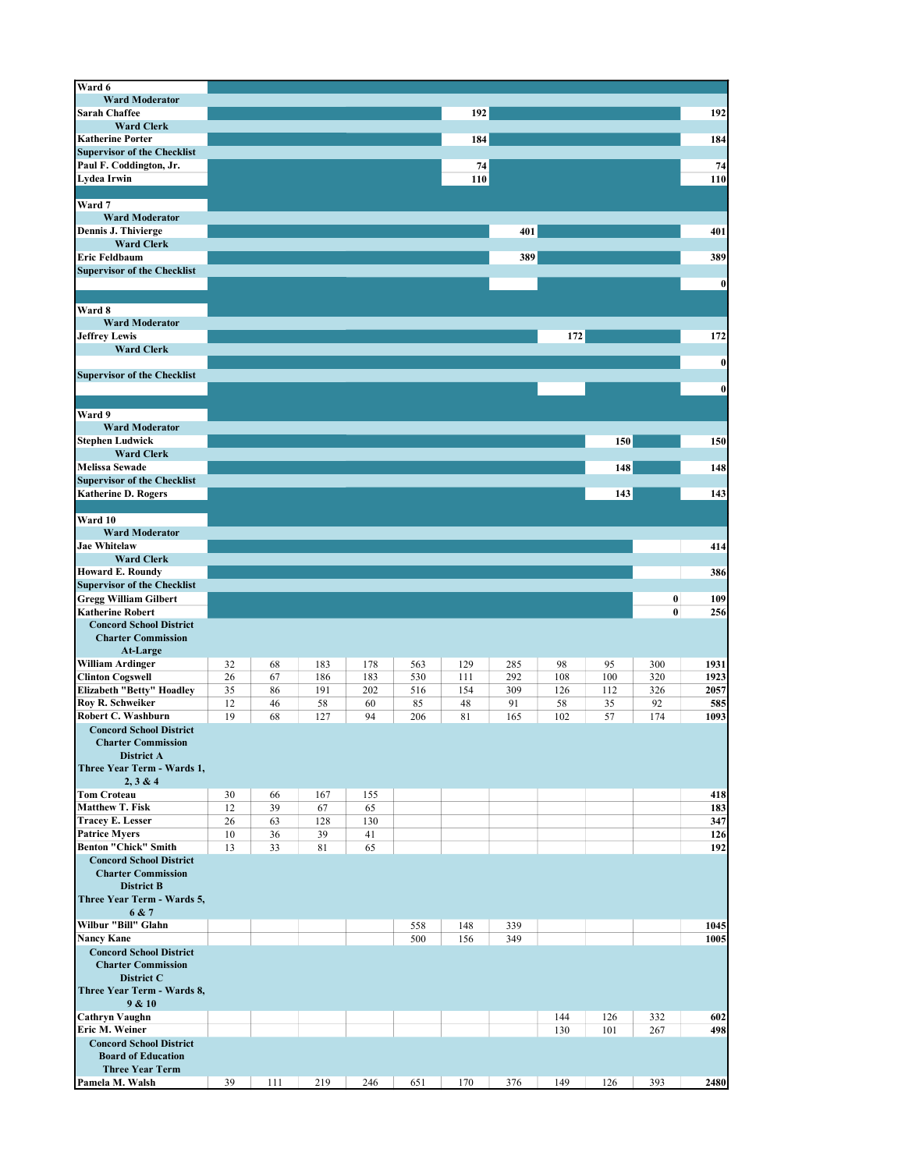| Ward 6                                                              |    |    |     |     |     |     |     |     |     |          |          |
|---------------------------------------------------------------------|----|----|-----|-----|-----|-----|-----|-----|-----|----------|----------|
| <b>Ward Moderator</b>                                               |    |    |     |     |     |     |     |     |     |          |          |
| <b>Sarah Chaffee</b>                                                |    |    |     |     |     | 192 |     |     |     |          | 192      |
| <b>Ward Clerk</b>                                                   |    |    |     |     |     |     |     |     |     |          |          |
| <b>Katherine Porter</b>                                             |    |    |     |     |     | 184 |     |     |     |          | 184      |
| <b>Supervisor of the Checklist</b>                                  |    |    |     |     |     |     |     |     |     |          |          |
| Paul F. Coddington, Jr.                                             |    |    |     |     |     | 74  |     |     |     |          | 74       |
| <b>Lydea Irwin</b>                                                  |    |    |     |     |     | 110 |     |     |     |          | 110      |
|                                                                     |    |    |     |     |     |     |     |     |     |          |          |
| Ward 7                                                              |    |    |     |     |     |     |     |     |     |          |          |
| <b>Ward Moderator</b>                                               |    |    |     |     |     |     |     |     |     |          |          |
| Dennis J. Thivierge                                                 |    |    |     |     |     |     | 401 |     |     |          | 401      |
| <b>Ward Clerk</b>                                                   |    |    |     |     |     |     |     |     |     |          |          |
| Eric Feldbaum                                                       |    |    |     |     |     |     | 389 |     |     |          | 389      |
| <b>Supervisor of the Checklist</b>                                  |    |    |     |     |     |     |     |     |     |          |          |
|                                                                     |    |    |     |     |     |     |     |     |     |          | $\bf{0}$ |
|                                                                     |    |    |     |     |     |     |     |     |     |          |          |
| Ward 8<br><b>Ward Moderator</b>                                     |    |    |     |     |     |     |     |     |     |          |          |
| <b>Jeffrey Lewis</b>                                                |    |    |     |     |     |     |     |     |     |          | 172      |
| <b>Ward Clerk</b>                                                   |    |    |     |     |     |     |     | 172 |     |          |          |
|                                                                     |    |    |     |     |     |     |     |     |     |          |          |
| <b>Supervisor of the Checklist</b>                                  |    |    |     |     |     |     |     |     |     |          | $\bf{0}$ |
|                                                                     |    |    |     |     |     |     |     |     |     |          | $\bf{0}$ |
|                                                                     |    |    |     |     |     |     |     |     |     |          |          |
| Ward 9                                                              |    |    |     |     |     |     |     |     |     |          |          |
| <b>Ward Moderator</b>                                               |    |    |     |     |     |     |     |     |     |          |          |
| <b>Stephen Ludwick</b>                                              |    |    |     |     |     |     |     |     | 150 |          | 150      |
| <b>Ward Clerk</b>                                                   |    |    |     |     |     |     |     |     |     |          |          |
| <b>Melissa Sewade</b>                                               |    |    |     |     |     |     |     |     | 148 |          | 148      |
| <b>Supervisor of the Checklist</b>                                  |    |    |     |     |     |     |     |     |     |          |          |
| <b>Katherine D. Rogers</b>                                          |    |    |     |     |     |     |     |     | 143 |          | 143      |
|                                                                     |    |    |     |     |     |     |     |     |     |          |          |
| Ward 10                                                             |    |    |     |     |     |     |     |     |     |          |          |
| <b>Ward Moderator</b>                                               |    |    |     |     |     |     |     |     |     |          |          |
| <b>Jae Whitelaw</b>                                                 |    |    |     |     |     |     |     |     |     |          | 414      |
| <b>Ward Clerk</b>                                                   |    |    |     |     |     |     |     |     |     |          |          |
| <b>Howard E. Roundy</b>                                             |    |    |     |     |     |     |     |     |     |          | 386      |
| <b>Supervisor of the Checklist</b>                                  |    |    |     |     |     |     |     |     |     |          |          |
| <b>Gregg William Gilbert</b>                                        |    |    |     |     |     |     |     |     |     |          |          |
|                                                                     |    |    |     |     |     |     |     |     |     | 0        | 109      |
| <b>Katherine Robert</b>                                             |    |    |     |     |     |     |     |     |     | $\bf{0}$ | 256      |
| <b>Concord School District</b>                                      |    |    |     |     |     |     |     |     |     |          |          |
| <b>Charter Commission</b>                                           |    |    |     |     |     |     |     |     |     |          |          |
| At-Large                                                            |    |    |     |     |     |     |     |     |     |          |          |
|                                                                     | 32 | 68 | 183 | 178 | 563 | 129 | 285 | 98  | 95  | 300      | 1931     |
| <b>Clinton Cogswell</b>                                             | 26 | 67 | 186 | 183 | 530 | 111 | 292 | 108 | 100 | 320      | 1923     |
| Elizabeth "Betty" Hoadley                                           | 35 | 86 | 191 | 202 | 516 | 154 | 309 | 126 | 112 | 326      | 2057     |
| <b>William Ardinger</b><br>Roy R. Schweiker                         | 12 | 46 | 58  | 60  | 85  | 48  | 91  | 58  | 35  | 92       | 585      |
| Robert C. Washburn                                                  | 19 | 68 | 127 | 94  | 206 | 81  | 165 | 102 | 57  | 174      | 1093     |
| <b>Concord School District</b>                                      |    |    |     |     |     |     |     |     |     |          |          |
| <b>Charter Commission</b>                                           |    |    |     |     |     |     |     |     |     |          |          |
| <b>District A</b>                                                   |    |    |     |     |     |     |     |     |     |          |          |
| Three Year Term - Wards 1,                                          |    |    |     |     |     |     |     |     |     |          |          |
| 2, 3 & 4                                                            |    |    |     |     |     |     |     |     |     |          |          |
| <b>Tom Croteau</b>                                                  | 30 | 66 | 167 | 155 |     |     |     |     |     |          | 418      |
| <b>Matthew T. Fisk</b>                                              | 12 | 39 | 67  | 65  |     |     |     |     |     |          | 183      |
| <b>Tracev E. Lesser</b>                                             | 26 | 63 | 128 | 130 |     |     |     |     |     |          | 347      |
| <b>Patrice Myers</b>                                                | 10 | 36 | 39  | 41  |     |     |     |     |     |          | 126      |
| <b>Benton "Chick" Smith</b>                                         | 13 | 33 | 81  | 65  |     |     |     |     |     |          | 192      |
| <b>Concord School District</b>                                      |    |    |     |     |     |     |     |     |     |          |          |
| <b>Charter Commission</b>                                           |    |    |     |     |     |     |     |     |     |          |          |
| <b>District B</b>                                                   |    |    |     |     |     |     |     |     |     |          |          |
|                                                                     |    |    |     |     |     |     |     |     |     |          |          |
| 6 & 7                                                               |    |    |     |     |     |     |     |     |     |          |          |
|                                                                     |    |    |     |     | 558 | 148 | 339 |     |     |          | 1045     |
| <b>Nancy Kane</b>                                                   |    |    |     |     | 500 | 156 | 349 |     |     |          | 1005     |
| <b>Concord School District</b><br><b>Charter Commission</b>         |    |    |     |     |     |     |     |     |     |          |          |
| District C                                                          |    |    |     |     |     |     |     |     |     |          |          |
| Three Year Term - Wards 8,                                          |    |    |     |     |     |     |     |     |     |          |          |
| 9 & 10                                                              |    |    |     |     |     |     |     |     |     |          |          |
| <b>Cathryn Vaughn</b>                                               |    |    |     |     |     |     |     | 144 | 126 | 332      | 602      |
| Three Year Term - Wards 5,<br>Wilbur "Bill" Glahn<br>Eric M. Weiner |    |    |     |     |     |     |     | 130 | 101 | 267      | 498      |
| <b>Concord School District</b>                                      |    |    |     |     |     |     |     |     |     |          |          |
| <b>Board of Education</b>                                           |    |    |     |     |     |     |     |     |     |          |          |
| <b>Three Year Term</b><br>Pamela M. Walsh                           |    |    |     |     |     |     |     |     |     |          |          |